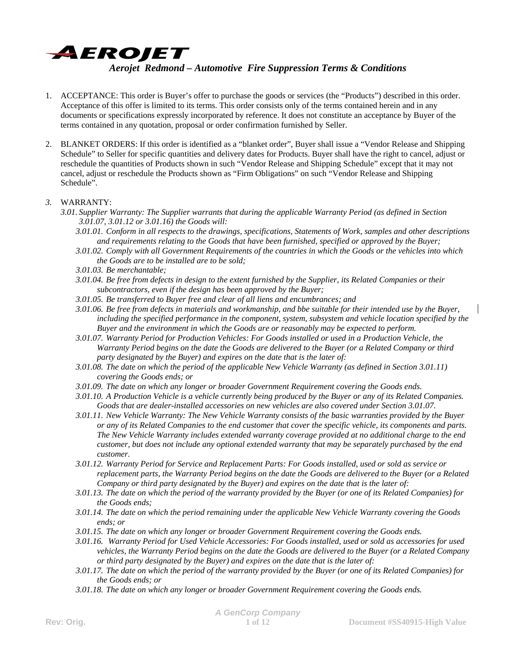

- 1. ACCEPTANCE: This order is Buyer's offer to purchase the goods or services (the "Products") described in this order. Acceptance of this offer is limited to its terms. This order consists only of the terms contained herein and in any documents or specifications expressly incorporated by reference. It does not constitute an acceptance by Buyer of the terms contained in any quotation, proposal or order confirmation furnished by Seller.
- 2. BLANKET ORDERS: If this order is identified as a "blanket order", Buyer shall issue a "Vendor Release and Shipping Schedule" to Seller for specific quantities and delivery dates for Products. Buyer shall have the right to cancel, adjust or reschedule the quantities of Products shown in such "Vendor Release and Shipping Schedule" except that it may not cancel, adjust or reschedule the Products shown as "Firm Obligations" on such "Vendor Release and Shipping Schedule".

## *3.* WARRANTY:

- *3.01. Supplier Warranty: The Supplier warrants that during the applicable Warranty Period (as defined in Section 3.01.07, 3.01.12 or 3.01.16) the Goods will:* 
	- *3.01.01. Conform in all respects to the drawings, specifications, Statements of Work, samples and other descriptions and requirements relating to the Goods that have been furnished, specified or approved by the Buyer;*
	- *3.01.02. Comply with all Government Requirements of the countries in which the Goods or the vehicles into which the Goods are to be installed are to be sold;*
	- *3.01.03. Be merchantable;*
	- *3.01.04. Be free from defects in design to the extent furnished by the Supplier, its Related Companies or their subcontractors, even if the design has been approved by the Buyer;*
	- *3.01.05. Be transferred to Buyer free and clear of all liens and encumbrances; and*
	- *3.01.06. Be free from defects in materials and workmanship, and bbe suitable for their intended use by the Buyer, including the specified performance in the component, system, subsystem and vehicle location specified by the Buyer and the environment in which the Goods are or reasonably may be expected to perform.*
	- *3.01.07. Warranty Period for Production Vehicles: For Goods installed or used in a Production Vehicle, the Warranty Period begins on the date the Goods are delivered to the Buyer (or a Related Company or third party designated by the Buyer) and expires on the date that is the later of:*
	- *3.01.08. The date on which the period of the applicable New Vehicle Warranty (as defined in Section 3.01.11) covering the Goods ends; or*
	- *3.01.09. The date on which any longer or broader Government Requirement covering the Goods ends.*
	- *3.01.10. A Production Vehicle is a vehicle currently being produced by the Buyer or any of its Related Companies. Goods that are dealer-installed accessories on new vehicles are also covered under Section 3.01.07.*
	- *3.01.11. New Vehicle Warranty: The New Vehicle Warranty consists of the basic warranties provided by the Buyer or any of its Related Companies to the end customer that cover the specific vehicle, its components and parts. The New Vehicle Warranty includes extended warranty coverage provided at no additional charge to the end customer, but does not include any optional extended warranty that may be separately purchased by the end customer.*
	- *3.01.12. Warranty Period for Service and Replacement Parts: For Goods installed, used or sold as service or replacement parts, the Warranty Period begins on the date the Goods are delivered to the Buyer (or a Related Company or third party designated by the Buyer) and expires on the date that is the later of:*
	- *3.01.13. The date on which the period of the warranty provided by the Buyer (or one of its Related Companies) for the Goods ends;*
	- *3.01.14. The date on which the period remaining under the applicable New Vehicle Warranty covering the Goods ends; or*
	- *3.01.15. The date on which any longer or broader Government Requirement covering the Goods ends.*
	- *3.01.16. Warranty Period for Used Vehicle Accessories: For Goods installed, used or sold as accessories for used vehicles, the Warranty Period begins on the date the Goods are delivered to the Buyer (or a Related Company or third party designated by the Buyer) and expires on the date that is the later of:*
	- *3.01.17. The date on which the period of the warranty provided by the Buyer (or one of its Related Companies) for the Goods ends; or*
	- *3.01.18. The date on which any longer or broader Government Requirement covering the Goods ends.*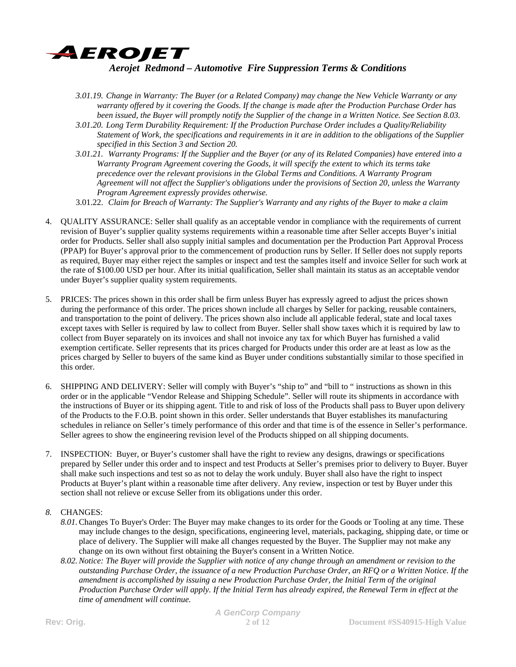

- *3.01.19. Change in Warranty: The Buyer (or a Related Company) may change the New Vehicle Warranty or any warranty offered by it covering the Goods. If the change is made after the Production Purchase Order has been issued, the Buyer will promptly notify the Supplier of the change in a Written Notice. See Section 8.03.*
- *3.01.20. Long Term Durability Requirement: If the Production Purchase Order includes a Quality/Reliability Statement of Work, the specifications and requirements in it are in addition to the obligations of the Supplier specified in this Section 3 and Section 20.*
- *3.01.21. Warranty Programs: If the Supplier and the Buyer (or any of its Related Companies) have entered into a Warranty Program Agreement covering the Goods, it will specify the extent to which its terms take precedence over the relevant provisions in the Global Terms and Conditions. A Warranty Program Agreement will not affect the Supplier's obligations under the provisions of Section 20, unless the Warranty Program Agreement expressly provides otherwise.*
- 3.01.22. *Claim for Breach of Warranty: The Supplier's Warranty and any rights of the Buyer to make a claim*
- 4. QUALITY ASSURANCE: Seller shall qualify as an acceptable vendor in compliance with the requirements of current revision of Buyer's supplier quality systems requirements within a reasonable time after Seller accepts Buyer's initial order for Products. Seller shall also supply initial samples and documentation per the Production Part Approval Process (PPAP) for Buyer's approval prior to the commencement of production runs by Seller. If Seller does not supply reports as required, Buyer may either reject the samples or inspect and test the samples itself and invoice Seller for such work at the rate of \$100.00 USD per hour. After its initial qualification, Seller shall maintain its status as an acceptable vendor under Buyer's supplier quality system requirements.
- 5. PRICES: The prices shown in this order shall be firm unless Buyer has expressly agreed to adjust the prices shown during the performance of this order. The prices shown include all charges by Seller for packing, reusable containers, and transportation to the point of delivery. The prices shown also include all applicable federal, state and local taxes except taxes with Seller is required by law to collect from Buyer. Seller shall show taxes which it is required by law to collect from Buyer separately on its invoices and shall not invoice any tax for which Buyer has furnished a valid exemption certificate. Seller represents that its prices charged for Products under this order are at least as low as the prices charged by Seller to buyers of the same kind as Buyer under conditions substantially similar to those specified in this order.
- 6. SHIPPING AND DELIVERY: Seller will comply with Buyer's "ship to" and "bill to " instructions as shown in this order or in the applicable "Vendor Release and Shipping Schedule". Seller will route its shipments in accordance with the instructions of Buyer or its shipping agent. Title to and risk of loss of the Products shall pass to Buyer upon delivery of the Products to the F.O.B. point shown in this order. Seller understands that Buyer establishes its manufacturing schedules in reliance on Seller's timely performance of this order and that time is of the essence in Seller's performance. Seller agrees to show the engineering revision level of the Products shipped on all shipping documents.
- 7. INSPECTION: Buyer, or Buyer's customer shall have the right to review any designs, drawings or specifications prepared by Seller under this order and to inspect and test Products at Seller's premises prior to delivery to Buyer. Buyer shall make such inspections and test so as not to delay the work unduly. Buyer shall also have the right to inspect Products at Buyer's plant within a reasonable time after delivery. Any review, inspection or test by Buyer under this section shall not relieve or excuse Seller from its obligations under this order.
- *8.* CHANGES:
	- *8.01.*Changes To Buyer's Order: The Buyer may make changes to its order for the Goods or Tooling at any time. These may include changes to the design, specifications, engineering level, materials, packaging, shipping date, or time or place of delivery. The Supplier will make all changes requested by the Buyer. The Supplier may not make any change on its own without first obtaining the Buyer's consent in a Written Notice.
	- *8.02.Notice: The Buyer will provide the Supplier with notice of any change through an amendment or revision to the outstanding Purchase Order, the issuance of a new Production Purchase Order, an RFQ or a Written Notice. If the amendment is accomplished by issuing a new Production Purchase Order, the Initial Term of the original Production Purchase Order will apply. If the Initial Term has already expired, the Renewal Term in effect at the time of amendment will continue.*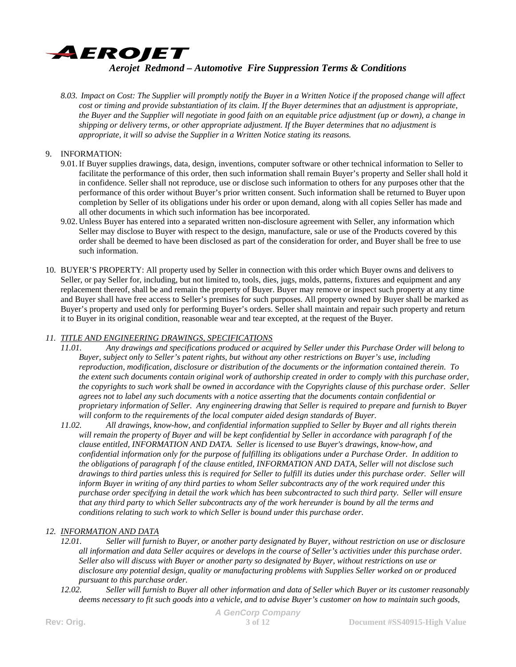

*8.03. Impact on Cost: The Supplier will promptly notify the Buyer in a Written Notice if the proposed change will affect cost or timing and provide substantiation of its claim. If the Buyer determines that an adjustment is appropriate, the Buyer and the Supplier will negotiate in good faith on an equitable price adjustment (up or down), a change in shipping or delivery terms, or other appropriate adjustment. If the Buyer determines that no adjustment is appropriate, it will so advise the Supplier in a Written Notice stating its reasons.* 

## 9. INFORMATION:

- 9.01.If Buyer supplies drawings, data, design, inventions, computer software or other technical information to Seller to facilitate the performance of this order, then such information shall remain Buyer's property and Seller shall hold it in confidence. Seller shall not reproduce, use or disclose such information to others for any purposes other that the performance of this order without Buyer's prior written consent. Such information shall be returned to Buyer upon completion by Seller of its obligations under his order or upon demand, along with all copies Seller has made and all other documents in which such information has bee incorporated.
- 9.02. Unless Buyer has entered into a separated written non-disclosure agreement with Seller, any information which Seller may disclose to Buyer with respect to the design, manufacture, sale or use of the Products covered by this order shall be deemed to have been disclosed as part of the consideration for order, and Buyer shall be free to use such information.
- 10. BUYER'S PROPERTY: All property used by Seller in connection with this order which Buyer owns and delivers to Seller, or pay Seller for, including, but not limited to, tools, dies, jugs, molds, patterns, fixtures and equipment and any replacement thereof, shall be and remain the property of Buyer. Buyer may remove or inspect such property at any time and Buyer shall have free access to Seller's premises for such purposes. All property owned by Buyer shall be marked as Buyer's property and used only for performing Buyer's orders. Seller shall maintain and repair such property and return it to Buyer in its original condition, reasonable wear and tear excepted, at the request of the Buyer.

### *11. TITLE AND ENGINEERING DRAWINGS, SPECIFICATIONS*

- *11.01. Any drawings and specifications produced or acquired by Seller under this Purchase Order will belong to Buyer, subject only to Seller's patent rights, but without any other restrictions on Buyer's use, including reproduction, modification, disclosure or distribution of the documents or the information contained therein. To the extent such documents contain original work of authorship created in order to comply with this purchase order, the copyrights to such work shall be owned in accordance with the Copyrights clause of this purchase order. Seller agrees not to label any such documents with a notice asserting that the documents contain confidential or proprietary information of Seller. Any engineering drawing that Seller is required to prepare and furnish to Buyer will conform to the requirements of the local computer aided design standards of Buyer.*
- *11.02. All drawings, know-how, and confidential information supplied to Seller by Buyer and all rights therein will remain the property of Buyer and will be kept confidential by Seller in accordance with paragraph f of the clause entitled, INFORMATION AND DATA. Seller is licensed to use Buyer's drawings, know-how, and confidential information only for the purpose of fulfilling its obligations under a Purchase Order. In addition to the obligations of paragraph f of the clause entitled, INFORMATION AND DATA, Seller will not disclose such drawings to third parties unless this is required for Seller to fulfill its duties under this purchase order. Seller will inform Buyer in writing of any third parties to whom Seller subcontracts any of the work required under this purchase order specifying in detail the work which has been subcontracted to such third party. Seller will ensure that any third party to which Seller subcontracts any of the work hereunder is bound by all the terms and conditions relating to such work to which Seller is bound under this purchase order.*

## *12. INFORMATION AND DATA*

- *12.01. Seller will furnish to Buyer, or another party designated by Buyer, without restriction on use or disclosure all information and data Seller acquires or develops in the course of Seller's activities under this purchase order. Seller also will discuss with Buyer or another party so designated by Buyer, without restrictions on use or disclosure any potential design, quality or manufacturing problems with Supplies Seller worked on or produced pursuant to this purchase order.*
- *12.02. Seller will furnish to Buyer all other information and data of Seller which Buyer or its customer reasonably deems necessary to fit such goods into a vehicle, and to advise Buyer's customer on how to maintain such goods,*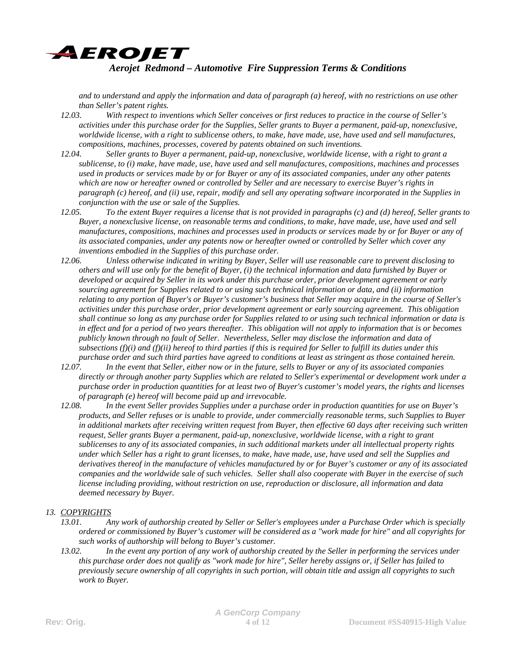

*and to understand and apply the information and data of paragraph (a) hereof, with no restrictions on use other than Seller's patent rights.* 

- *12.03. With respect to inventions which Seller conceives or first reduces to practice in the course of Seller's activities under this purchase order for the Supplies, Seller grants to Buyer a permanent, paid-up, nonexclusive, worldwide license, with a right to sublicense others, to make, have made, use, have used and sell manufactures, compositions, machines, processes, covered by patents obtained on such inventions.*
- *12.04. Seller grants to Buyer a permanent, paid-up, nonexclusive, worldwide license, with a right to grant a sublicense, to (i) make, have made, use, have used and sell manufactures, compositions, machines and processes used in products or services made by or for Buyer or any of its associated companies, under any other patents which are now or hereafter owned or controlled by Seller and are necessary to exercise Buyer's rights in paragraph (c) hereof, and (ii) use, repair, modify and sell any operating software incorporated in the Supplies in conjunction with the use or sale of the Supplies.*
- *12.05. To the extent Buyer requires a license that is not provided in paragraphs (c) and (d) hereof, Seller grants to Buyer, a nonexclusive license, on reasonable terms and conditions, to make, have made, use, have used and sell manufactures, compositions, machines and processes used in products or services made by or for Buyer or any of its associated companies, under any patents now or hereafter owned or controlled by Seller which cover any inventions embodied in the Supplies of this purchase order.*
- *12.06. Unless otherwise indicated in writing by Buyer, Seller will use reasonable care to prevent disclosing to others and will use only for the benefit of Buyer, (i) the technical information and data furnished by Buyer or developed or acquired by Seller in its work under this purchase order, prior development agreement or early sourcing agreement for Supplies related to or using such technical information or data, and (ii) information relating to any portion of Buyer's or Buyer's customer's business that Seller may acquire in the course of Seller's activities under this purchase order, prior development agreement or early sourcing agreement. This obligation shall continue so long as any purchase order for Supplies related to or using such technical information or data is in effect and for a period of two years thereafter. This obligation will not apply to information that is or becomes publicly known through no fault of Seller. Nevertheless, Seller may disclose the information and data of subsections (f)(i) and (f)(ii) hereof to third parties if this is required for Seller to fulfill its duties under this purchase order and such third parties have agreed to conditions at least as stringent as those contained herein.*
- *12.07. In the event that Seller, either now or in the future, sells to Buyer or any of its associated companies directly or through another party Supplies which are related to Seller's experimental or development work under a purchase order in production quantities for at least two of Buyer's customer's model years, the rights and licenses of paragraph (e) hereof will become paid up and irrevocable.*
- *12.08. In the event Seller provides Supplies under a purchase order in production quantities for use on Buyer's products, and Seller refuses or is unable to provide, under commercially reasonable terms, such Supplies to Buyer in additional markets after receiving written request from Buyer, then effective 60 days after receiving such written request, Seller grants Buyer a permanent, paid-up, nonexclusive, worldwide license, with a right to grant sublicenses to any of its associated companies, in such additional markets under all intellectual property rights under which Seller has a right to grant licenses, to make, have made, use, have used and sell the Supplies and derivatives thereof in the manufacture of vehicles manufactured by or for Buyer's customer or any of its associated companies and the worldwide sale of such vehicles. Seller shall also cooperate with Buyer in the exercise of such license including providing, without restriction on use, reproduction or disclosure, all information and data deemed necessary by Buyer.*

## *13. COPYRIGHTS*

- *13.01. Any work of authorship created by Seller or Seller's employees under a Purchase Order which is specially ordered or commissioned by Buyer's customer will be considered as a "work made for hire" and all copyrights for such works of authorship will belong to Buyer's customer.*
- *13.02. In the event any portion of any work of authorship created by the Seller in performing the services under this purchase order does not qualify as "work made for hire", Seller hereby assigns or, if Seller has failed to previously secure ownership of all copyrights in such portion, will obtain title and assign all copyrights to such work to Buyer.*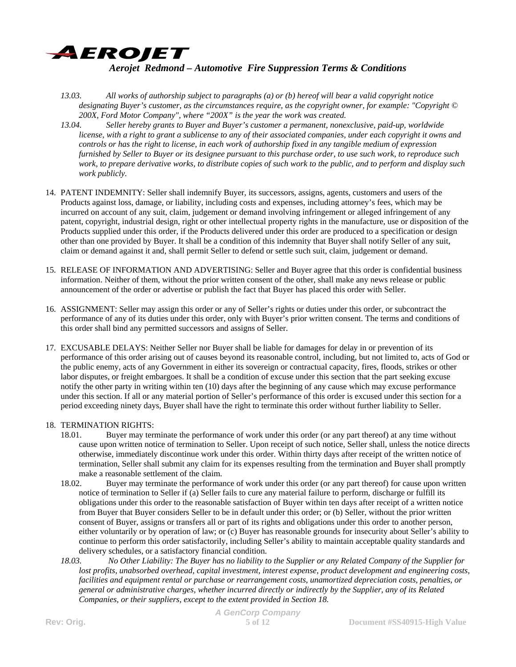

- *13.03. All works of authorship subject to paragraphs (a) or (b) hereof will bear a valid copyright notice designating Buyer's customer, as the circumstances require, as the copyright owner, for example: "Copyright © 200X, Ford Motor Company", where "200X" is the year the work was created.*
- *13.04. Seller hereby grants to Buyer and Buyer's customer a permanent, nonexclusive, paid-up, worldwide license, with a right to grant a sublicense to any of their associated companies, under each copyright it owns and controls or has the right to license, in each work of authorship fixed in any tangible medium of expression furnished by Seller to Buyer or its designee pursuant to this purchase order, to use such work, to reproduce such work, to prepare derivative works, to distribute copies of such work to the public, and to perform and display such work publicly.*
- 14. PATENT INDEMNITY: Seller shall indemnify Buyer, its successors, assigns, agents, customers and users of the Products against loss, damage, or liability, including costs and expenses, including attorney's fees, which may be incurred on account of any suit, claim, judgement or demand involving infringement or alleged infringement of any patent, copyright, industrial design, right or other intellectual property rights in the manufacture, use or disposition of the Products supplied under this order, if the Products delivered under this order are produced to a specification or design other than one provided by Buyer. It shall be a condition of this indemnity that Buyer shall notify Seller of any suit, claim or demand against it and, shall permit Seller to defend or settle such suit, claim, judgement or demand.
- 15. RELEASE OF INFORMATION AND ADVERTISING: Seller and Buyer agree that this order is confidential business information. Neither of them, without the prior written consent of the other, shall make any news release or public announcement of the order or advertise or publish the fact that Buyer has placed this order with Seller.
- 16. ASSIGNMENT: Seller may assign this order or any of Seller's rights or duties under this order, or subcontract the performance of any of its duties under this order, only with Buyer's prior written consent. The terms and conditions of this order shall bind any permitted successors and assigns of Seller.
- 17. EXCUSABLE DELAYS: Neither Seller nor Buyer shall be liable for damages for delay in or prevention of its performance of this order arising out of causes beyond its reasonable control, including, but not limited to, acts of God or the public enemy, acts of any Government in either its sovereign or contractual capacity, fires, floods, strikes or other labor disputes, or freight embargoes. It shall be a condition of excuse under this section that the part seeking excuse notify the other party in writing within ten (10) days after the beginning of any cause which may excuse performance under this section. If all or any material portion of Seller's performance of this order is excused under this section for a period exceeding ninety days, Buyer shall have the right to terminate this order without further liability to Seller.

## 18. TERMINATION RIGHTS:

- 18.01. Buyer may terminate the performance of work under this order (or any part thereof) at any time without cause upon written notice of termination to Seller. Upon receipt of such notice, Seller shall, unless the notice directs otherwise, immediately discontinue work under this order. Within thirty days after receipt of the written notice of termination, Seller shall submit any claim for its expenses resulting from the termination and Buyer shall promptly make a reasonable settlement of the claim.
- 18.02. Buyer may terminate the performance of work under this order (or any part thereof) for cause upon written notice of termination to Seller if (a) Seller fails to cure any material failure to perform, discharge or fulfill its obligations under this order to the reasonable satisfaction of Buyer within ten days after receipt of a written notice from Buyer that Buyer considers Seller to be in default under this order; or (b) Seller, without the prior written consent of Buyer, assigns or transfers all or part of its rights and obligations under this order to another person, either voluntarily or by operation of law; or (c) Buyer has reasonable grounds for insecurity about Seller's ability to continue to perform this order satisfactorily, including Seller's ability to maintain acceptable quality standards and delivery schedules, or a satisfactory financial condition.
- *18.03. No Other Liability: The Buyer has no liability to the Supplier or any Related Company of the Supplier for lost profits, unabsorbed overhead, capital investment, interest expense, product development and engineering costs, facilities and equipment rental or purchase or rearrangement costs, unamortized depreciation costs, penalties, or general or administrative charges, whether incurred directly or indirectly by the Supplier, any of its Related Companies, or their suppliers, except to the extent provided in Section 18.*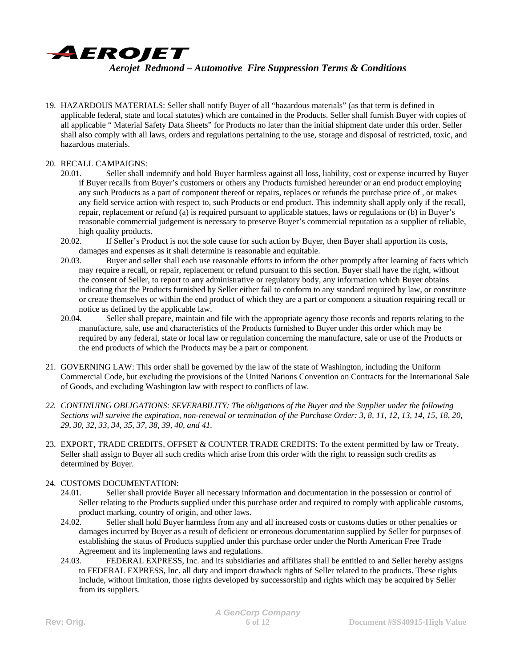

19. HAZARDOUS MATERIALS: Seller shall notify Buyer of all "hazardous materials" (as that term is defined in applicable federal, state and local statutes) which are contained in the Products. Seller shall furnish Buyer with copies of all applicable " Material Safety Data Sheets" for Products no later than the initial shipment date under this order. Seller shall also comply with all laws, orders and regulations pertaining to the use, storage and disposal of restricted, toxic, and hazardous materials.

### 20. RECALL CAMPAIGNS:

- 20.01. Seller shall indemnify and hold Buyer harmless against all loss, liability, cost or expense incurred by Buyer if Buyer recalls from Buyer's customers or others any Products furnished hereunder or an end product employing any such Products as a part of component thereof or repairs, replaces or refunds the purchase price of , or makes any field service action with respect to, such Products or end product. This indemnity shall apply only if the recall, repair, replacement or refund (a) is required pursuant to applicable statues, laws or regulations or (b) in Buyer's reasonable commercial judgement is necessary to preserve Buyer's commercial reputation as a supplier of reliable, high quality products.
- 20.02. If Seller's Product is not the sole cause for such action by Buyer, then Buyer shall apportion its costs, damages and expenses as it shall determine is reasonable and equitable.
- 20.03. Buyer and seller shall each use reasonable efforts to inform the other promptly after learning of facts which may require a recall, or repair, replacement or refund pursuant to this section. Buyer shall have the right, without the consent of Seller, to report to any administrative or regulatory body, any information which Buyer obtains indicating that the Products furnished by Seller either fail to conform to any standard required by law, or constitute or create themselves or within the end product of which they are a part or component a situation requiring recall or notice as defined by the applicable law.
- 20.04. Seller shall prepare, maintain and file with the appropriate agency those records and reports relating to the manufacture, sale, use and characteristics of the Products furnished to Buyer under this order which may be required by any federal, state or local law or regulation concerning the manufacture, sale or use of the Products or the end products of which the Products may be a part or component.
- 21. GOVERNING LAW: This order shall be governed by the law of the state of Washington, including the Uniform Commercial Code, but excluding the provisions of the United Nations Convention on Contracts for the International Sale of Goods, and excluding Washington law with respect to conflicts of law.
- *22. CONTINUING OBLIGATIONS: SEVERABILITY: The obligations of the Buyer and the Supplier under the following Sections will survive the expiration, non-renewal or termination of the Purchase Order: 3, 8, 11, 12, 13, 14, 15, 18, 20, 29, 30, 32, 33, 34, 35, 37, 38, 39, 40, and 41.*
- 23. EXPORT, TRADE CREDITS, OFFSET & COUNTER TRADE CREDITS: To the extent permitted by law or Treaty, Seller shall assign to Buyer all such credits which arise from this order with the right to reassign such credits as determined by Buyer.

#### 24. CUSTOMS DOCUMENTATION:

- 24.01. Seller shall provide Buyer all necessary information and documentation in the possession or control of Seller relating to the Products supplied under this purchase order and required to comply with applicable customs, product marking, country of origin, and other laws.
- 24.02. Seller shall hold Buyer harmless from any and all increased costs or customs duties or other penalties or damages incurred by Buyer as a result of deficient or erroneous documentation supplied by Seller for purposes of establishing the status of Products supplied under this purchase order under the North American Free Trade Agreement and its implementing laws and regulations.
- 24.03. FEDERAL EXPRESS, Inc. and its subsidiaries and affiliates shall be entitled to and Seller hereby assigns to FEDERAL EXPRESS, Inc. all duty and import drawback rights of Seller related to the products. These rights include, without limitation, those rights developed by successorship and rights which may be acquired by Seller from its suppliers.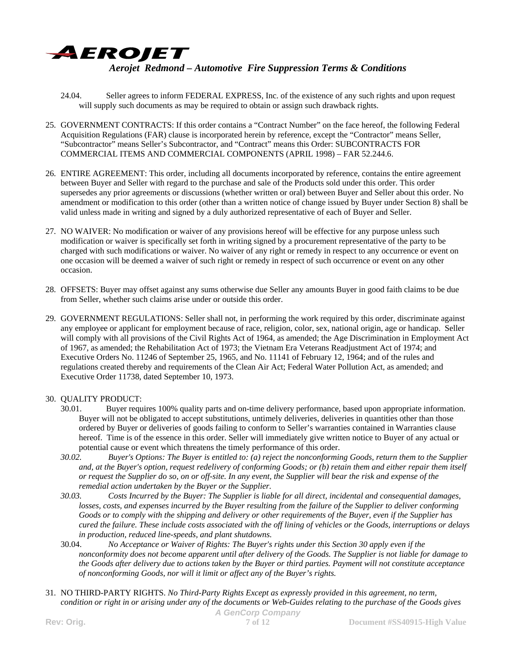

- 24.04. Seller agrees to inform FEDERAL EXPRESS, Inc. of the existence of any such rights and upon request will supply such documents as may be required to obtain or assign such drawback rights.
- 25. GOVERNMENT CONTRACTS: If this order contains a "Contract Number" on the face hereof, the following Federal Acquisition Regulations (FAR) clause is incorporated herein by reference, except the "Contractor" means Seller, "Subcontractor" means Seller's Subcontractor, and "Contract" means this Order: SUBCONTRACTS FOR COMMERCIAL ITEMS AND COMMERCIAL COMPONENTS (APRIL 1998) – FAR 52.244.6.
- 26. ENTIRE AGREEMENT: This order, including all documents incorporated by reference, contains the entire agreement between Buyer and Seller with regard to the purchase and sale of the Products sold under this order. This order supersedes any prior agreements or discussions (whether written or oral) between Buyer and Seller about this order. No amendment or modification to this order (other than a written notice of change issued by Buyer under Section 8) shall be valid unless made in writing and signed by a duly authorized representative of each of Buyer and Seller.
- 27. NO WAIVER: No modification or waiver of any provisions hereof will be effective for any purpose unless such modification or waiver is specifically set forth in writing signed by a procurement representative of the party to be charged with such modifications or waiver. No waiver of any right or remedy in respect to any occurrence or event on one occasion will be deemed a waiver of such right or remedy in respect of such occurrence or event on any other occasion.
- 28. OFFSETS: Buyer may offset against any sums otherwise due Seller any amounts Buyer in good faith claims to be due from Seller, whether such claims arise under or outside this order.
- 29. GOVERNMENT REGULATIONS: Seller shall not, in performing the work required by this order, discriminate against any employee or applicant for employment because of race, religion, color, sex, national origin, age or handicap. Seller will comply with all provisions of the Civil Rights Act of 1964, as amended; the Age Discrimination in Employment Act of 1967, as amended; the Rehabilitation Act of 1973; the Vietnam Era Veterans Readjustment Act of 1974; and Executive Orders No. 11246 of September 25, 1965, and No. 11141 of February 12, 1964; and of the rules and regulations created thereby and requirements of the Clean Air Act; Federal Water Pollution Act, as amended; and Executive Order 11738, dated September 10, 1973.

# 30. QUALITY PRODUCT:

- 30.01. Buyer requires 100% quality parts and on-time delivery performance, based upon appropriate information. Buyer will not be obligated to accept substitutions, untimely deliveries, deliveries in quantities other than those ordered by Buyer or deliveries of goods failing to conform to Seller's warranties contained in Warranties clause hereof. Time is of the essence in this order. Seller will immediately give written notice to Buyer of any actual or potential cause or event which threatens the timely performance of this order.
- *30.02. Buyer's Options: The Buyer is entitled to: (a) reject the nonconforming Goods, return them to the Supplier and, at the Buyer's option, request redelivery of conforming Goods; or (b) retain them and either repair them itself or request the Supplier do so, on or off-site. In any event, the Supplier will bear the risk and expense of the remedial action undertaken by the Buyer or the Supplier.*
- *30.03. Costs Incurred by the Buyer: The Supplier is liable for all direct, incidental and consequential damages, losses, costs, and expenses incurred by the Buyer resulting from the failure of the Supplier to deliver conforming Goods or to comply with the shipping and delivery or other requirements of the Buyer, even if the Supplier has cured the failure. These include costs associated with the off lining of vehicles or the Goods, interruptions or delays in production, reduced line-speeds, and plant shutdowns.*
- 30.04. *No Acceptance or Waiver of Rights: The Buyer's rights under this Section 30 apply even if the nonconformity does not become apparent until after delivery of the Goods. The Supplier is not liable for damage to the Goods after delivery due to actions taken by the Buyer or third parties. Payment will not constitute acceptance of nonconforming Goods, nor will it limit or affect any of the Buyer's rights.*
- *A GenCorp Company*  31. NO THIRD-PARTY RIGHTS. *No Third-Party Rights Except as expressly provided in this agreement, no term, condition or right in or arising under any of the documents or Web-Guides relating to the purchase of the Goods gives*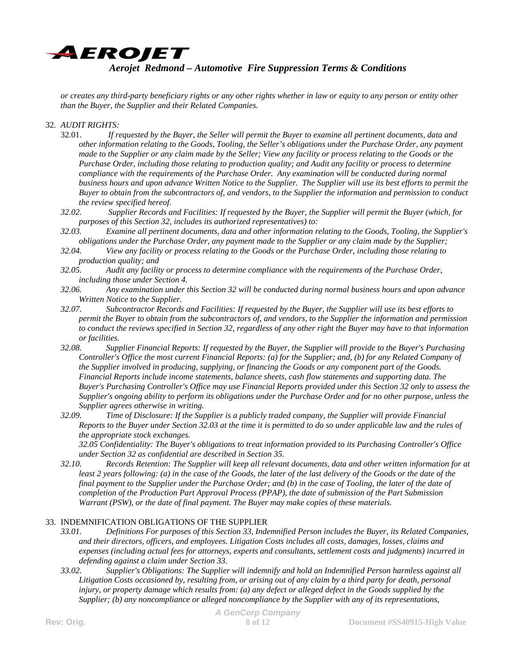

*or creates any third-party beneficiary rights or any other rights whether in law or equity to any person or entity other than the Buyer, the Supplier and their Related Companies.*

### 32. *AUDIT RIGHTS:*

- 32.01. *If requested by the Buyer, the Seller will permit the Buyer to examine all pertinent documents, data and other information relating to the Goods, Tooling, the Seller's obligations under the Purchase Order, any payment made to the Supplier or any claim made by the Seller; View any facility or process relating to the Goods or the Purchase Order, including those relating to production quality; and Audit any facility or process to determine compliance with the requirements of the Purchase Order. Any examination will be conducted during normal business hours and upon advance Written Notice to the Supplier. The Supplier will use its best efforts to permit the Buyer to obtain from the subcontractors of, and vendors, to the Supplier the information and permission to conduct the review specified hereof.*
- *32.02. Supplier Records and Facilities: If requested by the Buyer, the Supplier will permit the Buyer (which, for purposes of this Section 32, includes its authorized representatives) to:*
- *32.03. Examine all pertinent documents, data and other information relating to the Goods, Tooling, the Supplier's obligations under the Purchase Order, any payment made to the Supplier or any claim made by the Supplier;*
- *32.04. View any facility or process relating to the Goods or the Purchase Order, including those relating to production quality; and*
- *32.05. Audit any facility or process to determine compliance with the requirements of the Purchase Order, including those under Section 4.*
- *32.06. Any examination under this Section 32 will be conducted during normal business hours and upon advance Written Notice to the Supplier.*
- *32.07. Subcontractor Records and Facilities: If requested by the Buyer, the Supplier will use its best efforts to permit the Buyer to obtain from the subcontractors of, and vendors, to the Supplier the information and permission to conduct the reviews specified in Section 32, regardless of any other right the Buyer may have to that information or facilities.*
- *32.08. Supplier Financial Reports: If requested by the Buyer, the Supplier will provide to the Buyer's Purchasing Controller's Office the most current Financial Reports: (a) for the Supplier; and, (b) for any Related Company of the Supplier involved in producing, supplying, or financing the Goods or any component part of the Goods. Financial Reports include income statements, balance sheets, cash flow statements and supporting data. The Buyer's Purchasing Controller's Office may use Financial Reports provided under this Section 32 only to assess the Supplier's ongoing ability to perform its obligations under the Purchase Order and for no other purpose, unless the Supplier agrees otherwise in writing.*
- *32.09. Time of Disclosure: If the Supplier is a publicly traded company, the Supplier will provide Financial Reports to the Buyer under Section 32.03 at the time it is permitted to do so under applicable law and the rules of the appropriate stock exchanges.*

*32.05 Confidentiality: The Buyer's obligations to treat information provided to its Purchasing Controller's Office under Section 32 as confidential are described in Section 35.* 

*32.10. Records Retention: The Supplier will keep all relevant documents, data and other written information for at least 2 years following: (a) in the case of the Goods, the later of the last delivery of the Goods or the date of the final payment to the Supplier under the Purchase Order; and (b) in the case of Tooling, the later of the date of completion of the Production Part Approval Process (PPAP), the date of submission of the Part Submission Warrant (PSW), or the date of final payment. The Buyer may make copies of these materials.*

#### 33. INDEMNIFICATION OBLIGATIONS OF THE SUPPLIER

- *33.01. Definitions For purposes of this Section 33, Indemnified Person includes the Buyer, its Related Companies, and their directors, officers, and employees. Litigation Costs includes all costs, damages, losses, claims and expenses (including actual fees for attorneys, experts and consultants, settlement costs and judgments) incurred in defending against a claim under Section 33.*
- *33.02. Supplier's Obligations: The Supplier will indemnify and hold an Indemnified Person harmless against all Litigation Costs occasioned by, resulting from, or arising out of any claim by a third party for death, personal injury, or property damage which results from: (a) any defect or alleged defect in the Goods supplied by the Supplier; (b) any noncompliance or alleged noncompliance by the Supplier with any of its representations,*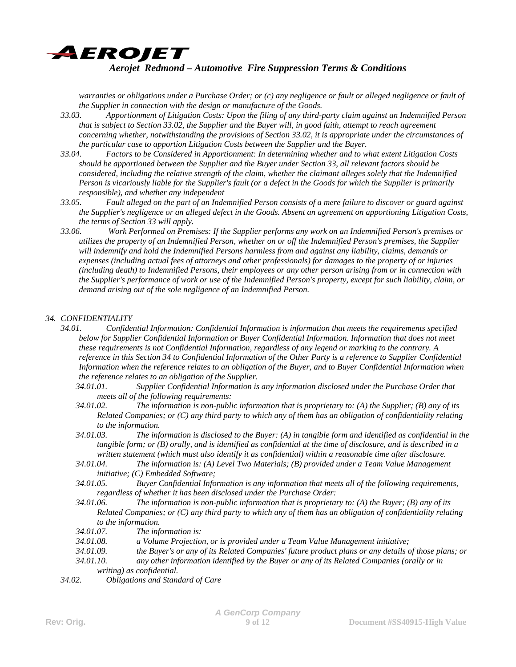

*warranties or obligations under a Purchase Order; or (c) any negligence or fault or alleged negligence or fault of the Supplier in connection with the design or manufacture of the Goods.* 

- *33.03. Apportionment of Litigation Costs: Upon the filing of any third-party claim against an Indemnified Person that is subject to Section 33.02, the Supplier and the Buyer will, in good faith, attempt to reach agreement concerning whether, notwithstanding the provisions of Section 33.02, it is appropriate under the circumstances of the particular case to apportion Litigation Costs between the Supplier and the Buyer.*
- *33.04. Factors to be Considered in Apportionment: In determining whether and to what extent Litigation Costs should be apportioned between the Supplier and the Buyer under Section 33, all relevant factors should be considered, including the relative strength of the claim, whether the claimant alleges solely that the Indemnified Person is vicariously liable for the Supplier's fault (or a defect in the Goods for which the Supplier is primarily responsible), and whether any independent*
- *33.05. Fault alleged on the part of an Indemnified Person consists of a mere failure to discover or guard against the Supplier's negligence or an alleged defect in the Goods. Absent an agreement on apportioning Litigation Costs, the terms of Section 33 will apply.*
- *33.06. Work Performed on Premises: If the Supplier performs any work on an Indemnified Person's premises or utilizes the property of an Indemnified Person, whether on or off the Indemnified Person's premises, the Supplier will indemnify and hold the Indemnified Persons harmless from and against any liability, claims, demands or expenses (including actual fees of attorneys and other professionals) for damages to the property of or injuries (including death) to Indemnified Persons, their employees or any other person arising from or in connection with the Supplier's performance of work or use of the Indemnified Person's property, except for such liability, claim, or demand arising out of the sole negligence of an Indemnified Person.*

### *34. CONFIDENTIALITY*

- *34.01. Confidential Information: Confidential Information is information that meets the requirements specified below for Supplier Confidential Information or Buyer Confidential Information. Information that does not meet these requirements is not Confidential Information, regardless of any legend or marking to the contrary. A reference in this Section 34 to Confidential Information of the Other Party is a reference to Supplier Confidential Information when the reference relates to an obligation of the Buyer, and to Buyer Confidential Information when the reference relates to an obligation of the Supplier.* 
	- *34.01.01. Supplier Confidential Information is any information disclosed under the Purchase Order that meets all of the following requirements:*
	- *34.01.02. The information is non-public information that is proprietary to: (A) the Supplier; (B) any of its Related Companies; or (C) any third party to which any of them has an obligation of confidentiality relating to the information.*
	- *34.01.03. The information is disclosed to the Buyer: (A) in tangible form and identified as confidential in the tangible form; or (B) orally, and is identified as confidential at the time of disclosure, and is described in a written statement (which must also identify it as confidential) within a reasonable time after disclosure.*
	- *34.01.04. The information is: (A) Level Two Materials; (B) provided under a Team Value Management initiative; (C) Embedded Software;*
	- *34.01.05. Buyer Confidential Information is any information that meets all of the following requirements, regardless of whether it has been disclosed under the Purchase Order:*
	- *34.01.06. The information is non-public information that is proprietary to: (A) the Buyer; (B) any of its Related Companies; or (C) any third party to which any of them has an obligation of confidentiality relating to the information.*
	- *34.01.07. The information is:*
	- *34.01.08. a Volume Projection, or is provided under a Team Value Management initiative;*
	- *34.01.09. the Buyer's or any of its Related Companies' future product plans or any details of those plans; or*
	- *34.01.10. any other information identified by the Buyer or any of its Related Companies (orally or in writing) as confidential.*
- *34.02. Obligations and Standard of Care*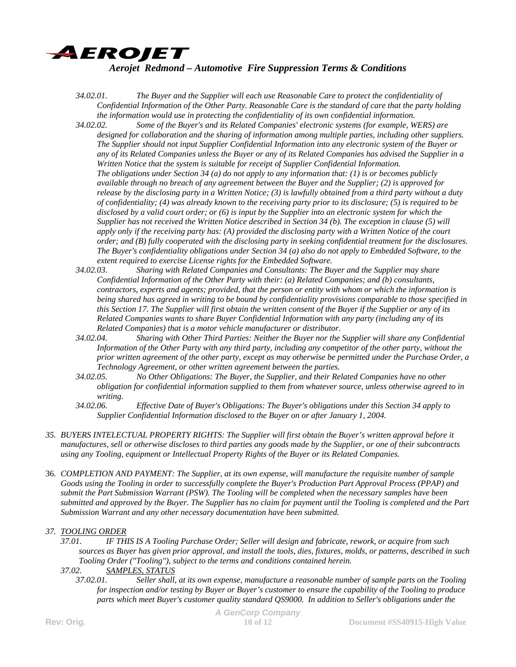

- *34.02.01. The Buyer and the Supplier will each use Reasonable Care to protect the confidentiality of Confidential Information of the Other Party. Reasonable Care is the standard of care that the party holding the information would use in protecting the confidentiality of its own confidential information.*
- *34.02.02. Some of the Buyer's and its Related Companies' electronic systems (for example, WERS) are designed for collaboration and the sharing of information among multiple parties, including other suppliers. The Supplier should not input Supplier Confidential Information into any electronic system of the Buyer or any of its Related Companies unless the Buyer or any of its Related Companies has advised the Supplier in a Written Notice that the system is suitable for receipt of Supplier Confidential Information. The obligations under Section 34 (a) do not apply to any information that: (1) is or becomes publicly available through no breach of any agreement between the Buyer and the Supplier; (2) is approved for release by the disclosing party in a Written Notice; (3) is lawfully obtained from a third party without a duty of confidentiality; (4) was already known to the receiving party prior to its disclosure; (5) is required to be disclosed by a valid court order; or (6) is input by the Supplier into an electronic system for which the Supplier has not received the Written Notice described in Section 34 (b). The exception in clause (5) will apply only if the receiving party has: (A) provided the disclosing party with a Written Notice of the court order; and (B) fully cooperated with the disclosing party in seeking confidential treatment for the disclosures. The Buyer's confidentiality obligations under Section 34 (a) also do not apply to Embedded Software, to the extent required to exercise License rights for the Embedded Software.*
- *34.02.03. Sharing with Related Companies and Consultants: The Buyer and the Supplier may share Confidential Information of the Other Party with their: (a) Related Companies; and (b) consultants, contractors, experts and agents; provided, that the person or entity with whom or which the information is being shared has agreed in writing to be bound by confidentiality provisions comparable to those specified in this Section 17. The Supplier will first obtain the written consent of the Buyer if the Supplier or any of its Related Companies wants to share Buyer Confidential Information with any party (including any of its Related Companies) that is a motor vehicle manufacturer or distributor.*
- *34.02.04. Sharing with Other Third Parties: Neither the Buyer nor the Supplier will share any Confidential Information of the Other Party with any third party, including any competitor of the other party, without the prior written agreement of the other party, except as may otherwise be permitted under the Purchase Order, a Technology Agreement, or other written agreement between the parties.*
- *34.02.05. No Other Obligations: The Buyer, the Supplier, and their Related Companies have no other obligation for confidential information supplied to them from whatever source, unless otherwise agreed to in writing.*
- *34.02.06. Effective Date of Buyer's Obligations: The Buyer's obligations under this Section 34 apply to Supplier Confidential Information disclosed to the Buyer on or after January 1, 2004.*
- *35. BUYERS INTELECTUAL PROPERTY RIGHTS: The Supplier will first obtain the Buyer's written approval before it manufactures, sell or otherwise discloses to third parties any goods made by the Supplier, or one of their subcontracts using any Tooling, equipment or Intellectual Property Rights of the Buyer or its Related Companies.*
- 36. *COMPLETION AND PAYMENT: The Supplier, at its own expense, will manufacture the requisite number of sample Goods using the Tooling in order to successfully complete the Buyer's Production Part Approval Process (PPAP) and submit the Part Submission Warrant (PSW). The Tooling will be completed when the necessary samples have been submitted and approved by the Buyer. The Supplier has no claim for payment until the Tooling is completed and the Part Submission Warrant and any other necessary documentation have been submitted.*

## *37. TOOLING ORDER*

- *37.01. IF THIS IS A Tooling Purchase Order; Seller will design and fabricate, rework, or acquire from such sources as Buyer has given prior approval, and install the tools, dies, fixtures, molds, or patterns, described in such Tooling Order ("Tooling"), subject to the terms and conditions contained herein.*
- *37.02. SAMPLES, STATUS*
	- *37.02.01. Seller shall, at its own expense, manufacture a reasonable number of sample parts on the Tooling for inspection and/or testing by Buyer or Buyer's customer to ensure the capability of the Tooling to produce parts which meet Buyer's customer quality standard QS9000. In addition to Seller's obligations under the*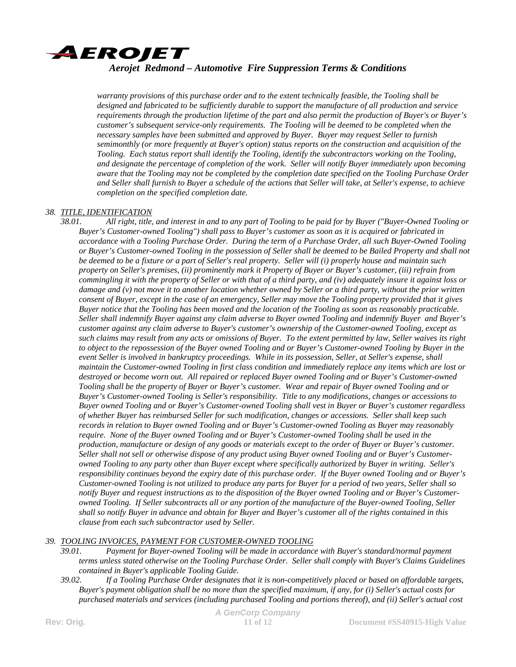

*warranty provisions of this purchase order and to the extent technically feasible, the Tooling shall be designed and fabricated to be sufficiently durable to support the manufacture of all production and service requirements through the production lifetime of the part and also permit the production of Buyer's or Buyer's customer's subsequent service-only requirements. The Tooling will be deemed to be completed when the necessary samples have been submitted and approved by Buyer. Buyer may request Seller to furnish semimonthly (or more frequently at Buyer's option) status reports on the construction and acquisition of the Tooling. Each status report shall identify the Tooling, identify the subcontractors working on the Tooling, and designate the percentage of completion of the work. Seller will notify Buyer immediately upon becoming aware that the Tooling may not be completed by the completion date specified on the Tooling Purchase Order and Seller shall furnish to Buyer a schedule of the actions that Seller will take, at Seller's expense, to achieve completion on the specified completion date.* 

### *38. TITLE, IDENTIFICATION*

*38.01. All right, title, and interest in and to any part of Tooling to be paid for by Buyer ("Buyer-Owned Tooling or Buyer's Customer-owned Tooling") shall pass to Buyer's customer as soon as it is acquired or fabricated in accordance with a Tooling Purchase Order. During the term of a Purchase Order, all such Buyer-Owned Tooling or Buyer's Customer-owned Tooling in the possession of Seller shall be deemed to be Bailed Property and shall not be deemed to be a fixture or a part of Seller's real property. Seller will (i) properly house and maintain such property on Seller's premises, (ii) prominently mark it Property of Buyer or Buyer's customer, (iii) refrain from commingling it with the property of Seller or with that of a third party, and (iv) adequately insure it against loss or damage and (v) not move it to another location whether owned by Seller or a third party, without the prior written consent of Buyer, except in the case of an emergency, Seller may move the Tooling property provided that it gives Buyer notice that the Tooling has been moved and the location of the Tooling as soon as reasonably practicable. Seller shall indemnify Buyer against any claim adverse to Buyer owned Tooling and indemnify Buyer and Buyer's customer against any claim adverse to Buyer's customer's ownership of the Customer-owned Tooling, except as such claims may result from any acts or omissions of Buyer. To the extent permitted by law, Seller waives its right to object to the repossession of the Buyer owned Tooling and or Buyer's Customer-owned Tooling by Buyer in the event Seller is involved in bankruptcy proceedings. While in its possession, Seller, at Seller's expense, shall maintain the Customer-owned Tooling in first class condition and immediately replace any items which are lost or destroyed or become worn out. All repaired or replaced Buyer owned Tooling and or Buyer's Customer-owned Tooling shall be the property of Buyer or Buyer's customer. Wear and repair of Buyer owned Tooling and or Buyer's Customer-owned Tooling is Seller's responsibility. Title to any modifications, changes or accessions to Buyer owned Tooling and or Buyer's Customer-owned Tooling shall vest in Buyer or Buyer's customer regardless of whether Buyer has reimbursed Seller for such modification, changes or accessions. Seller shall keep such records in relation to Buyer owned Tooling and or Buyer's Customer-owned Tooling as Buyer may reasonably require. None of the Buyer owned Tooling and or Buyer's Customer-owned Tooling shall be used in the production, manufacture or design of any goods or materials except to the order of Buyer or Buyer's customer. Seller shall not sell or otherwise dispose of any product using Buyer owned Tooling and or Buyer's Customerowned Tooling to any party other than Buyer except where specifically authorized by Buyer in writing. Seller's responsibility continues beyond the expiry date of this purchase order. If the Buyer owned Tooling and or Buyer's Customer-owned Tooling is not utilized to produce any parts for Buyer for a period of two years, Seller shall so notify Buyer and request instructions as to the disposition of the Buyer owned Tooling and or Buyer's Customerowned Tooling. If Seller subcontracts all or any portion of the manufacture of the Buyer-owned Tooling, Seller shall so notify Buyer in advance and obtain for Buyer and Buyer's customer all of the rights contained in this clause from each such subcontractor used by Seller.* 

## *39. TOOLING INVOICES, PAYMENT FOR CUSTOMER-OWNED TOOLING*

*39.01. Payment for Buyer-owned Tooling will be made in accordance with Buyer's standard/normal payment terms unless stated otherwise on the Tooling Purchase Order. Seller shall comply with Buyer's Claims Guidelines contained in Buyer's applicable Tooling Guide.* 

*39.02. If a Tooling Purchase Order designates that it is non-competitively placed or based on affordable targets, Buyer's payment obligation shall be no more than the specified maximum, if any, for (i) Seller's actual costs for purchased materials and services (including purchased Tooling and portions thereof), and (ii) Seller's actual cost*